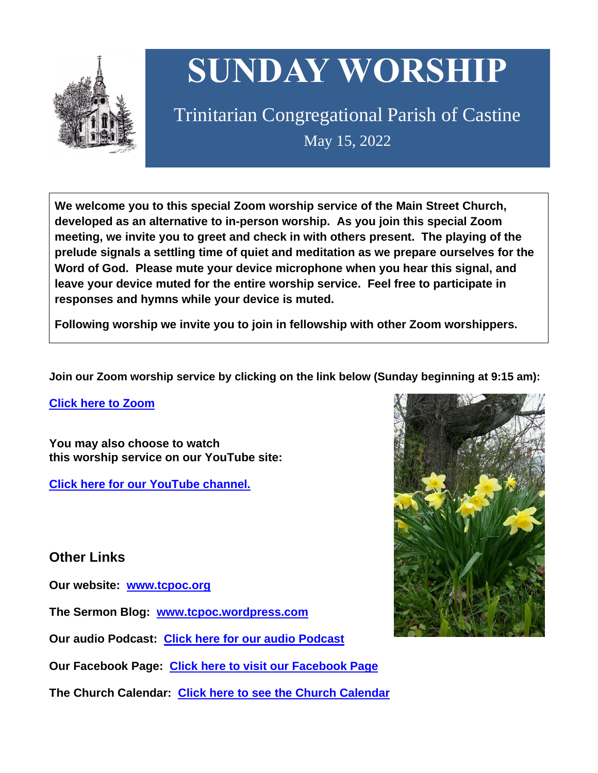

# **SUNDAY WORSHIP**

Trinitarian Congregational Parish of Castine May 15, 2022

**We welcome you to this special Zoom worship service of the Main Street Church, developed as an alternative to in-person worship. As you join this special Zoom meeting, we invite you to greet and check in with others present. The playing of the prelude signals a settling time of quiet and meditation as we prepare ourselves for the Word of God. Please mute your device microphone when you hear this signal, and leave your device muted for the entire worship service. Feel free to participate in responses and hymns while your device is muted.**

**Following worship we invite you to join in fellowship with other Zoom worshippers.**

**Join our Zoom worship service by clicking on the link below (Sunday beginning at 9:15 am):**

**Click here to [Zoom](https://us02web.zoom.us/j/89573448511?pwd=MFRuSFBJR2NWL015RzlyZ1UycmROQT09)**

**You may also choose to watch this worship service on our YouTube site:**

**Click here for our [YouTube](https://www.youtube.com/channel/UC4Bu-O6pN-bdPOqVNg0fBxA) channel.**

# **Other Links**

**Our website: [www.tcpoc.org](http://www.tcpoc.org/)**

**The Sermon Blog: [www.tcpoc.wordpress.com](http://www.tcpoc.wordpress.com/)**

**Our audio Podcast: Click here for our audio [Podcast](https://podpoint.com/trinitarian-congregational-parish-of-castine-podcast)**

**Our Facebook Page: Click here to visit our [Facebook](https://www.facebook.com/tcpoc) Page**

**The Church Calendar: Click here to see the Church [Calendar](http://www.tcpoc.org/calendar.html)**

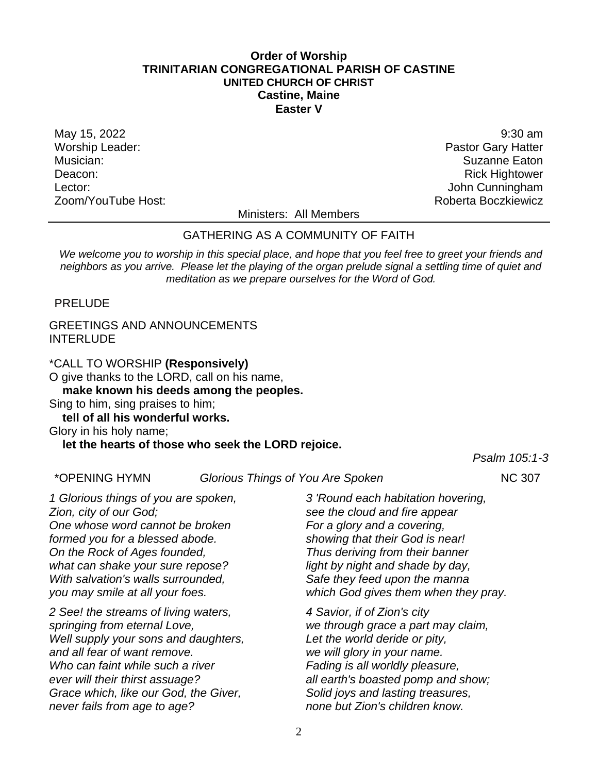#### **Order of Worship TRINITARIAN CONGREGATIONAL PARISH OF CASTINE UNITED CHURCH OF CHRIST Castine, Maine Easter V**

May 15, 2022 9:30 am Worship Leader: **Pastor Gary Hatter** Worship Leader: Musician: Suzanne Eaton Nusician: Suzanne Eaton Nusician: Suzanne Eaton Nusician: Suzanne Eaton Nusician: Suzanne Eaton Nusician: Suzanne Eaton Nusician: Suzanne Eaton Nusician: Suzanne Eaton Nusician: Suzanne Eaton Nusici Deacon: Network and the settlement of the settlement of the settlement of the settlement of the settlement of the settlement of the settlement of the settlement of the settlement of the settlement of the settlement of the Lector: **Lector: Contract Contract Contract Contract Contract Contract Contract Contract Contract Contract Contract Contract Contract Contract Contract Contract Contract Contract Contract Contract Contract Contract Contr** Zoom/YouTube Host: Roberta Boczkiewicz

Ministers: All Members

### GATHERING AS A COMMUNITY OF FAITH

*We welcome you to worship in this special place, and hope that you feel free to greet your friends and neighbors as you arrive. Please let the playing of the organ prelude signal a settling time of quiet and meditation as we prepare ourselves for the Word of God.*

PRELUDE

## GREETINGS AND ANNOUNCEMENTS INTERLUDE

\*CALL TO WORSHIP **(Responsively)** O give thanks to the LORD, call on his name, **make known his deeds among the peoples.** Sing to him, sing praises to him; **tell of all his wonderful works.**

Glory in his holy name;

# **let the hearts of those who seek the LORD rejoice.**

\*OPENING HYMN *Glorious Things of You Are Spoken* NC 307

*Psalm 105:1-3*

*1 Glorious things of you are spoken, Zion, city of our God; One whose word cannot be broken formed you for a blessed abode. On the Rock of Ages founded, what can shake your sure repose? With salvation's walls surrounded, you may smile at all your foes.*

*2 See! the streams of living waters, springing from eternal Love, Well supply your sons and daughters, and all fear of want remove. Who can faint while such a river ever will their thirst assuage? Grace which, like our God, the Giver, never fails from age to age?*

*3 'Round each habitation hovering, see the cloud and fire appear For a glory and a covering, showing that their God is near! Thus deriving from their banner light by night and shade by day, Safe they feed upon the manna which God gives them when they pray.*

*4 Savior, if of Zion's city we through grace a part may claim, Let the world deride or pity, we will glory in your name. Fading is all worldly pleasure, all earth's boasted pomp and show; Solid joys and lasting treasures, none but Zion's children know.*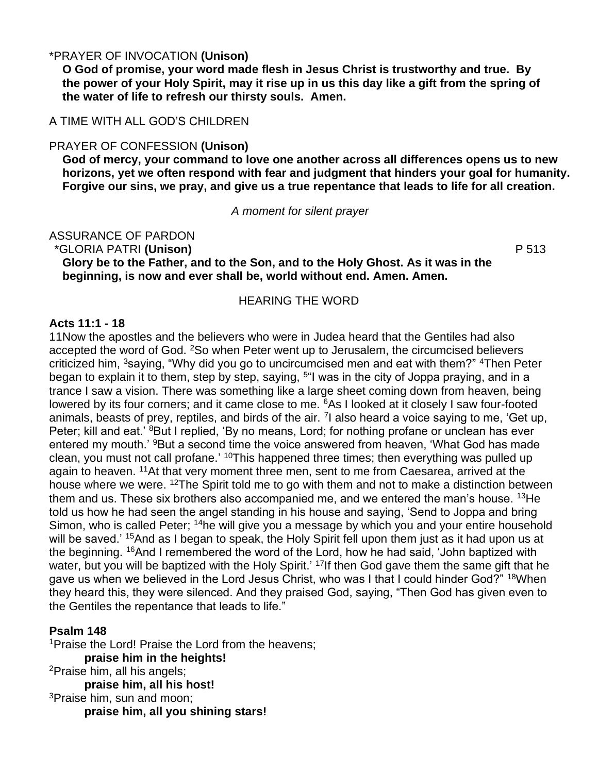# \*PRAYER OF INVOCATION **(Unison)**

**O God of promise, your word made flesh in Jesus Christ is trustworthy and true. By the power of your Holy Spirit, may it rise up in us this day like a gift from the spring of the water of life to refresh our thirsty souls. Amen.**

### A TIME WITH ALL GOD'S CHILDREN

#### PRAYER OF CONFESSION **(Unison)**

**God of mercy, your command to love one another across all differences opens us to new horizons, yet we often respond with fear and judgment that hinders your goal for humanity. Forgive our sins, we pray, and give us a true repentance that leads to life for all creation.**

#### *A moment for silent prayer*

# ASSURANCE OF PARDON

\*GLORIA PATRI **(Unison)** P 513

**Glory be to the Father, and to the Son, and to the Holy Ghost. As it was in the beginning, is now and ever shall be, world without end. Amen. Amen.**

#### HEARING THE WORD

#### **Acts 11:1 - 18**

11Now the apostles and the believers who were in Judea heard that the Gentiles had also accepted the word of God. <sup>2</sup>So when Peter went up to Jerusalem, the circumcised believers criticized him, <sup>3</sup>saying, "Why did you go to uncircumcised men and eat with them?" <sup>4</sup>Then Peter began to explain it to them, step by step, saying, <sup>5"</sup>I was in the city of Joppa praying, and in a trance I saw a vision. There was something like a large sheet coming down from heaven, being lowered by its four corners; and it came close to me. <sup>6</sup>As I looked at it closely I saw four-footed animals, beasts of prey, reptiles, and birds of the air. <sup>7</sup>I also heard a voice saying to me, 'Get up, Peter; kill and eat.' <sup>8</sup>But I replied, 'By no means, Lord; for nothing profane or unclean has ever entered my mouth.' <sup>9</sup>But a second time the voice answered from heaven, 'What God has made clean, you must not call profane.' <sup>10</sup>This happened three times; then everything was pulled up again to heaven. <sup>11</sup>At that very moment three men, sent to me from Caesarea, arrived at the house where we were. <sup>12</sup>The Spirit told me to go with them and not to make a distinction between them and us. These six brothers also accompanied me, and we entered the man's house. <sup>13</sup>He told us how he had seen the angel standing in his house and saying, 'Send to Joppa and bring Simon, who is called Peter; <sup>14</sup>he will give you a message by which you and your entire household will be saved.<sup>' 15</sup>And as I began to speak, the Holy Spirit fell upon them just as it had upon us at the beginning. <sup>16</sup>And I remembered the word of the Lord, how he had said, 'John baptized with water, but you will be baptized with the Holy Spirit.' <sup>17</sup>If then God gave them the same gift that he gave us when we believed in the Lord Jesus Christ, who was I that I could hinder God?" <sup>18</sup>When they heard this, they were silenced. And they praised God, saying, "Then God has given even to the Gentiles the repentance that leads to life."

#### **Psalm 148**

<sup>1</sup>Praise the Lord! Praise the Lord from the heavens; **praise him in the heights!**  <sup>2</sup>Praise him, all his angels; **praise him, all his host!**  <sup>3</sup>Praise him, sun and moon; **praise him, all you shining stars!**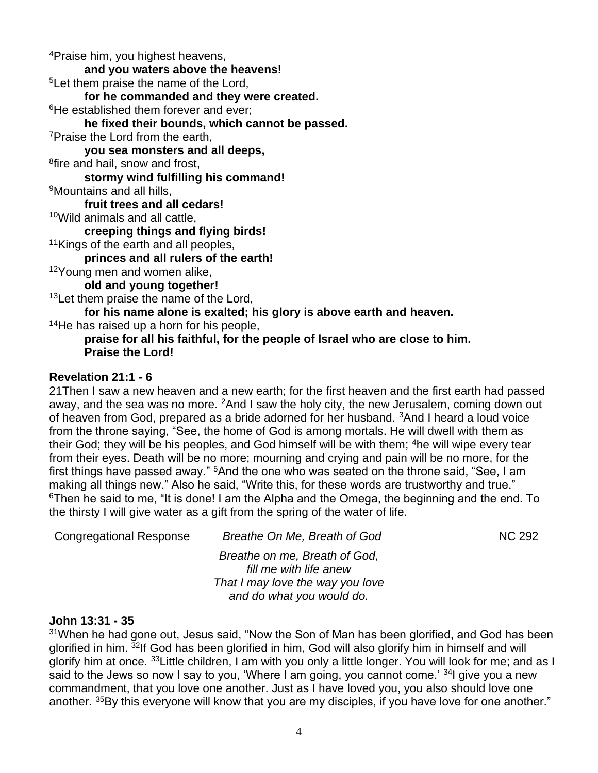<sup>4</sup>Praise him, you highest heavens, **and you waters above the heavens!**  <sup>5</sup>Let them praise the name of the Lord, **for he commanded and they were created.**  <sup>6</sup>He established them forever and ever: **he fixed their bounds, which cannot be passed.**  <sup>7</sup>Praise the Lord from the earth, **you sea monsters and all deeps,**  <sup>8</sup>fire and hail, snow and frost, **stormy wind fulfilling his command!**  <sup>9</sup>Mountains and all hills. **fruit trees and all cedars!**  <sup>10</sup>Wild animals and all cattle, **creeping things and flying birds!**  <sup>11</sup>Kings of the earth and all peoples, **princes and all rulers of the earth!**  <sup>12</sup>Young men and women alike, **old and young together!**  <sup>13</sup> Let them praise the name of the Lord, **for his name alone is exalted; his glory is above earth and heaven.** 

<sup>14</sup>He has raised up a horn for his people,

**praise for all his faithful, for the people of Israel who are close to him. Praise the Lord!** 

# **Revelation 21:1 - 6**

21Then I saw a new heaven and a new earth; for the first heaven and the first earth had passed away, and the sea was no more. <sup>2</sup>And I saw the holy city, the new Jerusalem, coming down out of heaven from God, prepared as a bride adorned for her husband. <sup>3</sup>And I heard a loud voice from the throne saying, "See, the home of God is among mortals. He will dwell with them as their God; they will be his peoples, and God himself will be with them; <sup>4</sup>he will wipe every tear from their eyes. Death will be no more; mourning and crying and pain will be no more, for the first things have passed away." <sup>5</sup>And the one who was seated on the throne said, "See, I am making all things new." Also he said, "Write this, for these words are trustworthy and true."  $6$ Then he said to me, "It is done! I am the Alpha and the Omega, the beginning and the end. To the thirsty I will give water as a gift from the spring of the water of life.

| <b>Congregational Response</b> | Breathe On Me, Breath of God     | <b>NC 292</b> |
|--------------------------------|----------------------------------|---------------|
|                                | Breathe on me, Breath of God,    |               |
|                                | fill me with life anew           |               |
|                                | That I may love the way you love |               |
|                                | and do what you would do.        |               |

# **John 13:31 - 35**

 $31$ When he had gone out, Jesus said, "Now the Son of Man has been glorified, and God has been glorified in him. <sup>32</sup>If God has been glorified in him, God will also glorify him in himself and will glorify him at once. <sup>33</sup> Little children, I am with you only a little longer. You will look for me; and as I said to the Jews so now I say to you, 'Where I am going, you cannot come.' <sup>34</sup>I give you a new commandment, that you love one another. Just as I have loved you, you also should love one another. <sup>35</sup>By this everyone will know that you are my disciples, if you have love for one another."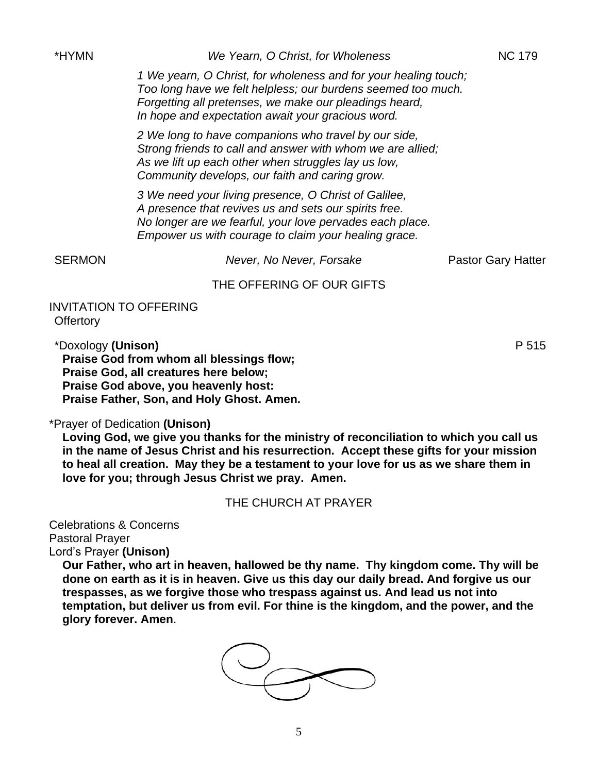*1 We yearn, O Christ, for wholeness and for your healing touch; Too long have we felt helpless; our burdens seemed too much. Forgetting all pretenses, we make our pleadings heard, In hope and expectation await your gracious word.*

*2 We long to have companions who travel by our side, Strong friends to call and answer with whom we are allied; As we lift up each other when struggles lay us low, Community develops, our faith and caring grow.*

*3 We need your living presence, O Christ of Galilee, A presence that revives us and sets our spirits free. No longer are we fearful, your love pervades each place. Empower us with courage to claim your healing grace.*

SERMON *Never, No Never, Forsake* Pastor Gary Hatter

THE OFFERING OF OUR GIFTS

INVITATION TO OFFERING **Offertory** 

\*Doxology **(Unison)** P 515 **Praise God from whom all blessings flow; Praise God, all creatures here below; Praise God above, you heavenly host: Praise Father, Son, and Holy Ghost. Amen.**

\*Prayer of Dedication **(Unison)**

**Loving God, we give you thanks for the ministry of reconciliation to which you call us in the name of Jesus Christ and his resurrection. Accept these gifts for your mission to heal all creation. May they be a testament to your love for us as we share them in love for you; through Jesus Christ we pray. Amen.**

THE CHURCH AT PRAYER

Celebrations & Concerns Pastoral Prayer Lord's Prayer **(Unison)**

**Our Father, who art in heaven, hallowed be thy name. Thy kingdom come. Thy will be done on earth as it is in heaven. Give us this day our daily bread. And forgive us our trespasses, as we forgive those who trespass against us. And lead us not into temptation, but deliver us from evil. For thine is the kingdom, and the power, and the glory forever. Amen**.